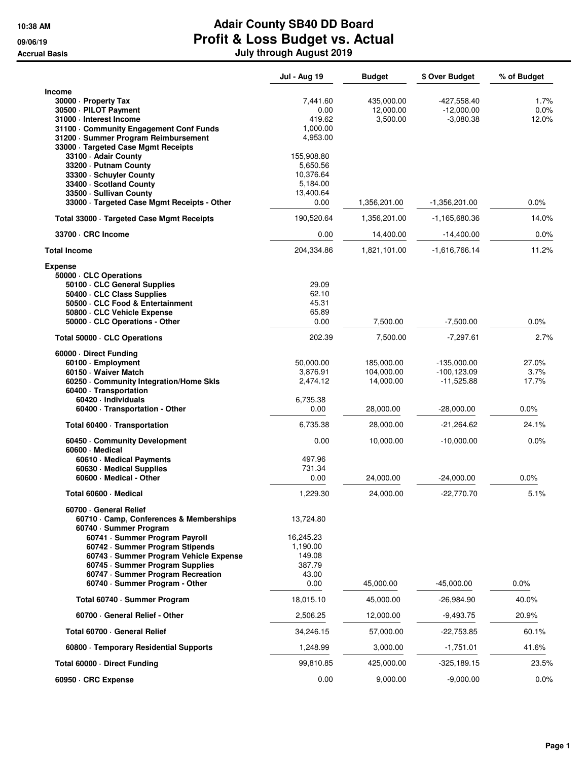|                                                               | <b>Jul - Aug 19</b> | <b>Budget</b> | \$ Over Budget  | % of Budget |
|---------------------------------------------------------------|---------------------|---------------|-----------------|-------------|
| <b>Income</b><br>30000 - Property Tax                         | 7,441.60            | 435,000.00    | -427,558.40     | 1.7%        |
| 30500 · PILOT Payment                                         | 0.00                | 12,000.00     | $-12,000.00$    | 0.0%        |
| 31000 · Interest Income                                       | 419.62              | 3,500.00      | $-3,080.38$     | 12.0%       |
| 31100 Community Engagement Conf Funds                         | 1,000.00            |               |                 |             |
| 31200 · Summer Program Reimbursement                          | 4,953.00            |               |                 |             |
| 33000 · Targeted Case Mgmt Receipts<br>33100 - Adair County   | 155,908.80          |               |                 |             |
| 33200 - Putnam County                                         | 5,650.56            |               |                 |             |
| 33300 · Schuyler County                                       | 10,376.64           |               |                 |             |
| 33400 · Scotland County                                       | 5.184.00            |               |                 |             |
| 33500 - Sullivan County                                       | 13,400.64           |               |                 |             |
| 33000 · Targeted Case Mgmt Receipts - Other                   | 0.00                | 1,356,201.00  | $-1,356,201.00$ | 0.0%        |
| Total 33000 · Targeted Case Mgmt Receipts                     | 190,520.64          | 1,356,201.00  | -1,165,680.36   | 14.0%       |
| 33700 · CRC Income                                            | 0.00                | 14,400.00     | $-14,400.00$    | $0.0\%$     |
| <b>Total Income</b>                                           | 204,334.86          | 1,821,101.00  | $-1,616,766.14$ | 11.2%       |
| <b>Expense</b>                                                |                     |               |                 |             |
| 50000 · CLC Operations                                        |                     |               |                 |             |
| 50100 · CLC General Supplies                                  | 29.09<br>62.10      |               |                 |             |
| 50400 CLC Class Supplies<br>50500 · CLC Food & Entertainment  | 45.31               |               |                 |             |
| 50800 CLC Vehicle Expense                                     | 65.89               |               |                 |             |
| 50000 · CLC Operations - Other                                | 0.00                | 7,500.00      | $-7,500.00$     | 0.0%        |
| Total 50000 · CLC Operations                                  | 202.39              | 7,500.00      | $-7,297.61$     | 2.7%        |
| 60000 Direct Funding                                          |                     |               |                 |             |
| 60100 · Employment                                            | 50,000.00           | 185,000.00    | -135,000.00     | 27.0%       |
| 60150 · Waiver Match                                          | 3,876.91            | 104,000.00    | $-100, 123.09$  | 3.7%        |
| 60250 Community Integration/Home Skls                         | 2,474.12            | 14,000.00     | $-11,525.88$    | 17.7%       |
| 60400 · Transportation                                        |                     |               |                 |             |
| 60420 · Individuals                                           | 6,735.38            |               |                 |             |
| 60400 · Transportation - Other                                | 0.00                | 28,000.00     | $-28,000.00$    | $0.0\%$     |
| Total 60400 · Transportation                                  | 6,735.38            | 28,000.00     | $-21,264.62$    | 24.1%       |
| 60450 Community Development<br>60600 · Medical                | 0.00                | 10,000.00     | $-10,000.00$    | 0.0%        |
| 60610 · Medical Payments                                      | 497.96              |               |                 |             |
| 60630 · Medical Supplies                                      | 731.34              |               |                 |             |
| 60600 · Medical - Other                                       | 0.00                | 24,000.00     | $-24,000.00$    | 0.0%        |
| Total 60600 · Medical                                         | 1,229.30            | 24,000.00     | $-22,770.70$    | 5.1%        |
| 60700 General Relief<br>60710 Camp, Conferences & Memberships | 13,724.80           |               |                 |             |
| 60740 · Summer Program                                        |                     |               |                 |             |
| 60741 · Summer Program Payroll                                | 16,245.23           |               |                 |             |
| 60742 · Summer Program Stipends                               | 1,190.00            |               |                 |             |
| 60743 · Summer Program Vehicle Expense                        | 149.08              |               |                 |             |
| 60745 · Summer Program Supplies                               | 387.79              |               |                 |             |
| 60747 · Summer Program Recreation                             | 43.00               |               |                 |             |
| 60740 · Summer Program - Other                                | 0.00                | 45,000.00     | $-45,000.00$    | $0.0\%$     |
| Total 60740 · Summer Program                                  | 18,015.10           | 45,000.00     | $-26,984.90$    | 40.0%       |
| 60700 · General Relief - Other                                | 2,506.25            | 12,000.00     | -9,493.75       | 20.9%       |
| Total 60700 General Relief                                    | 34,246.15           | 57,000.00     | $-22,753.85$    | 60.1%       |
| 60800 · Temporary Residential Supports                        | 1,248.99            | 3,000.00      | $-1,751.01$     | 41.6%       |
| Total 60000 · Direct Funding                                  | 99,810.85           | 425,000.00    | $-325,189.15$   | 23.5%       |
| 60950 · CRC Expense                                           | 0.00                | 9,000.00      | $-9,000.00$     | $0.0\%$     |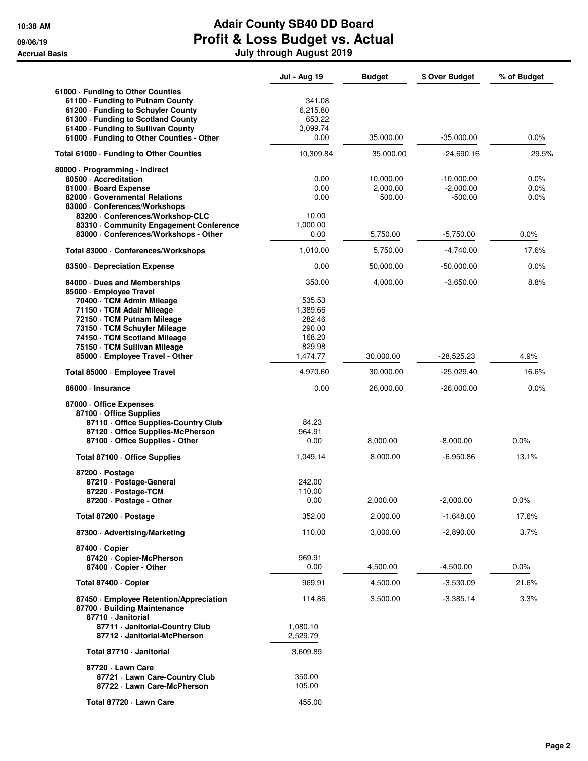|                                                                                                                                                                                                                                                                                  | Jul - Aug 19                                                                     | <b>Budget</b>                               | \$ Over Budget                                          | % of Budget                  |
|----------------------------------------------------------------------------------------------------------------------------------------------------------------------------------------------------------------------------------------------------------------------------------|----------------------------------------------------------------------------------|---------------------------------------------|---------------------------------------------------------|------------------------------|
| 61000 · Funding to Other Counties<br>61100 - Funding to Putnam County<br>61200 · Funding to Schuyler County<br>61300 - Funding to Scotland County<br>61400 · Funding to Sullivan County<br>61000 · Funding to Other Counties - Other                                             | 341.08<br>6,215.80<br>653.22<br>3,099.74<br>0.00                                 | 35,000.00                                   | $-35,000.00$                                            | 0.0%                         |
| Total 61000 · Funding to Other Counties                                                                                                                                                                                                                                          | 10,309.84                                                                        | 35,000.00                                   | -24,690.16                                              | 29.5%                        |
| 80000 · Programming - Indirect<br>80500 - Accreditation<br>81000 · Board Expense<br>82000 Governmental Relations<br>83000 Conferences/Workshops<br>83200 - Conferences/Workshop-CLC<br>83310 Community Engagement Conference<br>83000 · Conferences/Workshops - Other            | 0.00<br>0.00<br>0.00<br>10.00<br>1,000.00<br>0.00                                | 10,000.00<br>2,000.00<br>500.00<br>5,750.00 | $-10,000.00$<br>$-2,000.00$<br>$-500.00$<br>$-5,750.00$ | 0.0%<br>0.0%<br>0.0%<br>0.0% |
| Total 83000 · Conferences/Workshops                                                                                                                                                                                                                                              | 1,010.00                                                                         | 5,750.00                                    | $-4,740.00$                                             | 17.6%                        |
|                                                                                                                                                                                                                                                                                  | 0.00                                                                             | 50,000.00                                   |                                                         | 0.0%                         |
| 83500 Depreciation Expense                                                                                                                                                                                                                                                       |                                                                                  |                                             | $-50,000.00$                                            |                              |
| 84000 Dues and Memberships<br>85000 · Employee Travel<br>70400 · TCM Admin Mileage<br>71150 · TCM Adair Mileage<br>72150 · TCM Putnam Mileage<br>73150 · TCM Schuyler Mileage<br>74150 · TCM Scotland Mileage<br>75150 · TCM Sullivan Mileage<br>85000 · Employee Travel - Other | 350.00<br>535.53<br>1,389.66<br>282.46<br>290.00<br>168.20<br>829.98<br>1,474.77 | 4,000.00<br>30,000.00                       | $-3,650.00$<br>$-28,525.23$                             | 8.8%<br>4.9%                 |
| Total 85000 · Employee Travel                                                                                                                                                                                                                                                    | 4,970.60                                                                         | 30,000.00                                   | $-25,029.40$                                            | 16.6%                        |
| 86000 · Insurance                                                                                                                                                                                                                                                                | 0.00                                                                             | 26,000.00                                   | $-26,000.00$                                            | 0.0%                         |
| 87000 · Office Expenses<br>87100 Office Supplies<br>87110 Office Supplies-Country Club<br>87120 Office Supplies-McPherson<br>87100 - Office Supplies - Other                                                                                                                     | 84.23<br>964.91<br>0.00                                                          | 8,000.00                                    | $-8,000.00$                                             | 0.0%                         |
| Total 87100 · Office Supplies                                                                                                                                                                                                                                                    | 1,049.14                                                                         | 8,000.00                                    | $-6,950.86$                                             | 13.1%                        |
| 87200 Dostage<br>87210 · Postage-General<br>87220 · Postage-TCM<br>87200 · Postage - Other                                                                                                                                                                                       | 242.00<br>110.00<br>0.00                                                         | 2,000.00                                    | $-2,000.00$                                             | 0.0%                         |
| Total 87200 · Postage                                                                                                                                                                                                                                                            | 352.00                                                                           | 2,000.00                                    | $-1,648.00$                                             | 17.6%                        |
| 87300 Advertising/Marketing                                                                                                                                                                                                                                                      | 110.00                                                                           | 3,000.00                                    | $-2,890.00$                                             | 3.7%                         |
| 87400 Copier<br>87420 · Copier-McPherson<br>87400 · Copier - Other                                                                                                                                                                                                               | 969.91<br>0.00                                                                   | 4,500.00                                    | $-4,500.00$                                             | 0.0%                         |
| Total 87400 · Copier                                                                                                                                                                                                                                                             | 969.91                                                                           | 4,500.00                                    | $-3,530.09$                                             | 21.6%                        |
| 87450 · Employee Retention/Appreciation<br>87700 · Building Maintenance<br>87710 - Janitorial<br>87711 · Janitorial-Country Club<br>87712 · Janitorial-McPherson                                                                                                                 | 114.86<br>1,080.10<br>2,529.79                                                   | 3,500.00                                    | $-3,385.14$                                             | 3.3%                         |
| Total 87710 · Janitorial                                                                                                                                                                                                                                                         | 3,609.89                                                                         |                                             |                                                         |                              |
| 87720 · Lawn Care<br>87721 Lawn Care-Country Club<br>87722 · Lawn Care-McPherson                                                                                                                                                                                                 | 350.00<br>105.00                                                                 |                                             |                                                         |                              |
| Total 87720 · Lawn Care                                                                                                                                                                                                                                                          | 455.00                                                                           |                                             |                                                         |                              |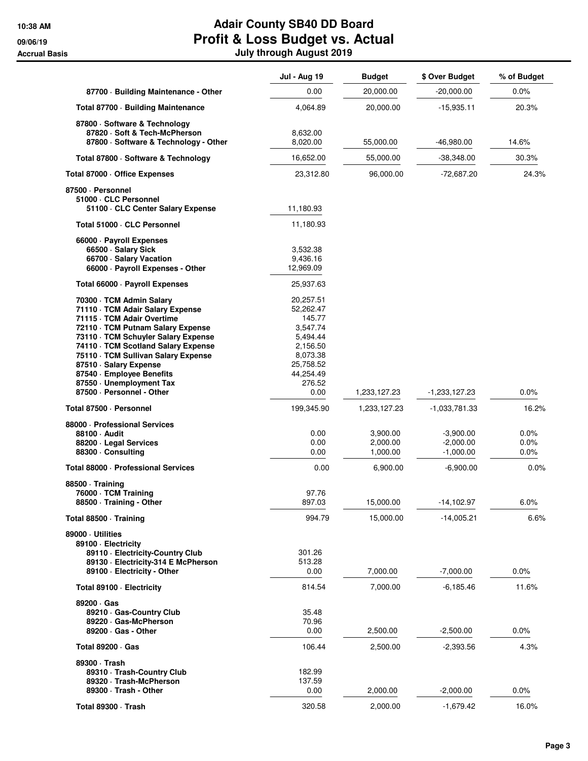|                                                          | <b>Jul - Aug 19</b>    | <b>Budget</b> | \$ Over Budget  | % of Budget |
|----------------------------------------------------------|------------------------|---------------|-----------------|-------------|
| 87700 · Building Maintenance - Other                     | 0.00                   | 20,000.00     | $-20,000.00$    | $0.0\%$     |
| Total 87700 · Building Maintenance                       | 4,064.89               | 20,000.00     | $-15,935.11$    | 20.3%       |
| 87800 · Software & Technology                            |                        |               |                 |             |
| 87820 · Soft & Tech-McPherson                            | 8,632.00               |               |                 |             |
| 87800 · Software & Technology - Other                    | 8,020.00               | 55,000.00     | -46,980.00      | 14.6%       |
| Total 87800 · Software & Technology                      | 16,652.00              | 55,000.00     | $-38,348.00$    | 30.3%       |
| Total 87000 · Office Expenses                            | 23,312.80              | 96,000.00     | -72,687.20      | 24.3%       |
| 87500 · Personnel                                        |                        |               |                 |             |
| 51000 · CLC Personnel<br>51100 CLC Center Salary Expense | 11,180.93              |               |                 |             |
| Total 51000 · CLC Personnel                              | 11,180.93              |               |                 |             |
|                                                          |                        |               |                 |             |
| 66000 · Payroll Expenses<br>66500 · Salary Sick          | 3,532.38               |               |                 |             |
| 66700 · Salary Vacation                                  | 9,436.16               |               |                 |             |
| 66000 · Payroll Expenses - Other                         | 12,969.09              |               |                 |             |
| Total 66000 · Payroll Expenses                           | 25,937.63              |               |                 |             |
| 70300 · TCM Admin Salary                                 | 20,257.51              |               |                 |             |
| 71110 · TCM Adair Salary Expense                         | 52,262.47              |               |                 |             |
| 71115 · TCM Adair Overtime                               | 145.77                 |               |                 |             |
| 72110 · TCM Putnam Salary Expense                        | 3,547.74               |               |                 |             |
| 73110 · TCM Schuyler Salary Expense                      | 5,494.44               |               |                 |             |
| 74110 · TCM Scotland Salary Expense                      | 2,156.50               |               |                 |             |
| 75110 · TCM Sullivan Salary Expense                      | 8,073.38               |               |                 |             |
| 87510 · Salary Expense<br>87540 · Employee Benefits      | 25,758.52<br>44,254.49 |               |                 |             |
| 87550 Unemployment Tax                                   | 276.52                 |               |                 |             |
| 87500 - Personnel - Other                                | 0.00                   | 1,233,127.23  | $-1,233,127.23$ | 0.0%        |
| Total 87500 · Personnel                                  | 199,345.90             | 1,233,127.23  | -1,033,781.33   | 16.2%       |
| 88000 · Professional Services                            |                        |               |                 |             |
| 88100 · Audit                                            | 0.00                   | 3,900.00      | $-3,900.00$     | 0.0%        |
| 88200 · Legal Services                                   | 0.00                   | 2,000.00      | $-2,000.00$     | 0.0%        |
| 88300 · Consulting                                       | 0.00                   | 1,000.00      | $-1,000.00$     | $0.0\%$     |
| Total 88000 · Professional Services                      | 0.00                   | 6,900.00      | $-6,900.00$     | 0.0%        |
| 88500 Training                                           |                        |               |                 |             |
| 76000 · TCM Training                                     | 97.76                  |               |                 |             |
| 88500 · Training - Other                                 | 897.03                 | 15,000.00     | $-14, 102.97$   | 6.0%        |
| Total 88500 Training                                     | 994.79                 | 15,000.00     | -14,005.21      | 6.6%        |
| 89000 Utilities                                          |                        |               |                 |             |
| 89100 - Electricity                                      |                        |               |                 |             |
| 89110 - Electricity-Country Club                         | 301.26                 |               |                 |             |
| 89130 · Electricity-314 E McPherson                      | 513.28                 |               |                 |             |
| 89100 - Electricity - Other                              | 0.00                   | 7,000.00      | $-7,000.00$     | 0.0%        |
| Total 89100 · Electricity                                | 814.54                 | 7,000.00      | -6,185.46       | 11.6%       |
| 89200 · Gas                                              |                        |               |                 |             |
| 89210 Gas-Country Club                                   | 35.48                  |               |                 |             |
| 89220 Gas-McPherson                                      | 70.96                  |               |                 |             |
| 89200 · Gas - Other                                      | 0.00                   | 2,500.00      | $-2,500.00$     | $0.0\%$     |
| <b>Total 89200 · Gas</b>                                 | 106.44                 | 2,500.00      | $-2,393.56$     | 4.3%        |
| 89300 · Trash                                            |                        |               |                 |             |
| 89310 · Trash-Country Club                               | 182.99                 |               |                 |             |
| 89320 · Trash-McPherson                                  | 137.59                 |               |                 |             |
| 89300 · Trash - Other                                    | 0.00                   | 2,000.00      | $-2,000.00$     | 0.0%        |
| Total 89300 · Trash                                      | 320.58                 | 2,000.00      | $-1,679.42$     | 16.0%       |